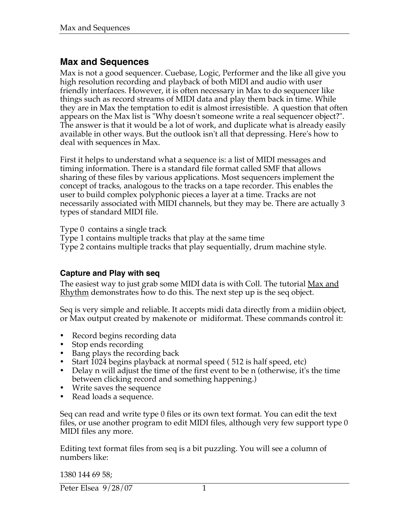# **Max and Sequences**

Max is not a good sequencer. Cuebase, Logic, Performer and the like all give you high resolution recording and playback of both MIDI and audio with user friendly interfaces. However, it is often necessary in Max to do sequencer like things such as record streams of MIDI data and play them back in time. While they are in Max the temptation to edit is almost irresistible. A question that often appears on the Max list is "Why doesn't someone write a real sequencer object?". The answer is that it would be a lot of work, and duplicate what is already easily available in other ways. But the outlook isn't all that depressing. Here's how to deal with sequences in Max.

First it helps to understand what a sequence is: a list of MIDI messages and timing information. There is a standard file format called SMF that allows sharing of these files by various applications. Most sequencers implement the concept of tracks, analogous to the tracks on a tape recorder. This enables the user to build complex polyphonic pieces a layer at a time. Tracks are not necessarily associated with MIDI channels, but they may be. There are actually 3 types of standard MIDI file.

Type 0 contains a single track

Type 1 contains multiple tracks that play at the same time

Type 2 contains multiple tracks that play sequentially, drum machine style.

#### **Capture and Play with seq**

The easiest way to just grab some MIDI data is with Coll. The tutorial Max and <u>Rhythm</u> demonstrates how to do this. The next step up is the seq object.

Seq is very simple and reliable. It accepts midi data directly from a midiin object, or Max output created by makenote or midiformat. These commands control it:

- Record begins recording data
- Stop ends recording
- Bang plays the recording back
- Start 1024 begins playback at normal speed ( 512 is half speed, etc)
- Delay n will adjust the time of the first event to be n (otherwise, it's the time between clicking record and something happening.)
- Write saves the sequence
- Read loads a sequence.

Seq can read and write type 0 files or its own text format. You can edit the text files, or use another program to edit MIDI files, although very few support type 0 MIDI files any more.

Editing text format files from seq is a bit puzzling. You will see a column of numbers like:

1380 144 69 58;

Peter Elsea 9/28/07 1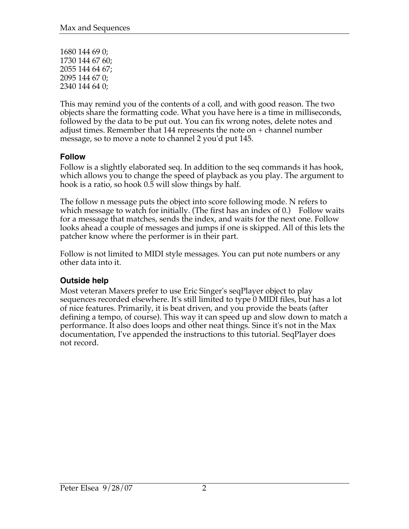1680 144 69 0; 1730 144 67 60; 2055 144 64 67; 2095 144 67 0; 2340 144 64 0;

This may remind you of the contents of a coll, and with good reason. The two objects share the formatting code. What you have here is a time in milliseconds, followed by the data to be put out. You can fix wrong notes, delete notes and adjust times. Remember that 144 represents the note on + channel number message, so to move a note to channel 2 you'd put 145.

#### **Follow**

Follow is a slightly elaborated seq. In addition to the seq commands it has hook, which allows you to change the speed of playback as you play. The argument to hook is a ratio, so hook 0.5 will slow things by half.

The follow n message puts the object into score following mode. N refers to which message to watch for initially. (The first has an index of 0.) Follow waits for a message that matches, sends the index, and waits for the next one. Follow looks ahead a couple of messages and jumps if one is skipped. All of this lets the patcher know where the performer is in their part.

Follow is not limited to MIDI style messages. You can put note numbers or any other data into it.

#### **Outside help**

Most veteran Maxers prefer to use Eric Singer's seqPlayer object to play sequences recorded elsewhere. It's still limited to type 0 MIDI files, but has a lot of nice features. Primarily, it is beat driven, and you provide the beats (after defining a tempo, of course). This way it can speed up and slow down to match a performance. It also does loops and other neat things. Since it's not in the Max documentation, I've appended the instructions to this tutorial. SeqPlayer does not record.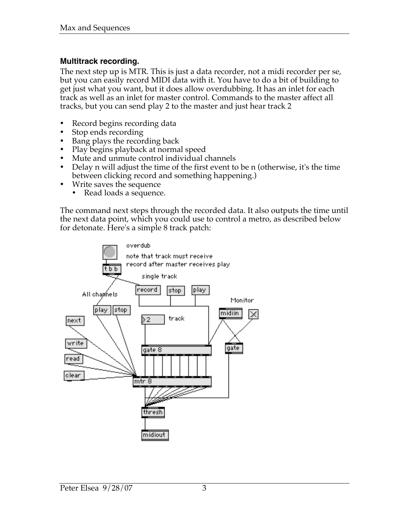#### **Multitrack recording.**

The next step up is MTR. This is just a data recorder, not a midi recorder per se, but you can easily record MIDI data with it. You have to do a bit of building to get just what you want, but it does allow overdubbing. It has an inlet for each track as well as an inlet for master control. Commands to the master affect all tracks, but you can send play 2 to the master and just hear track 2

- Record begins recording data
- Stop ends recording
- Bang plays the recording back
- Play begins playback at normal speed
- Mute and unmute control individual channels
- Delay n will adjust the time of the first event to be n (otherwise, it's the time between clicking record and something happening.)
- Write saves the sequence
	- Read loads a sequence.

The command next steps through the recorded data. It also outputs the time until the next data point, which you could use to control a metro, as described below for detonate. Here's a simple 8 track patch:

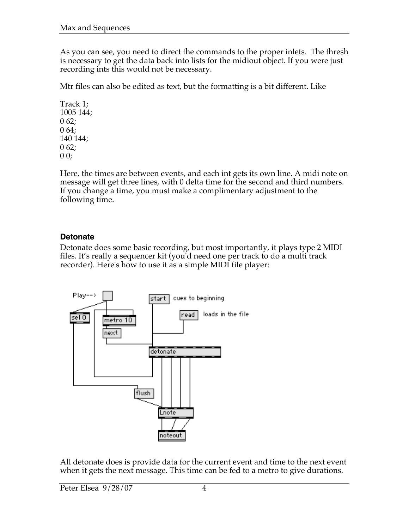As you can see, you need to direct the commands to the proper inlets. The thresh is necessary to get the data back into lists for the midiout object. If you were just recording ints this would not be necessary.

Mtr files can also be edited as text, but the formatting is a bit different. Like

Track 1; 1005 144;  $062;$ 0 64; 140 144; 0 62;  $00;$ 

Here, the times are between events, and each int gets its own line. A midi note on message will get three lines, with 0 delta time for the second and third numbers. If you change a time, you must make a complimentary adjustment to the following time.

## **Detonate**

Detonate does some basic recording, but most importantly, it plays type 2 MIDI files. It's really a sequencer kit (you'd need one per track to do a multi track recorder). Here's how to use it as a simple MIDI file player:



All detonate does is provide data for the current event and time to the next event when it gets the next message. This time can be fed to a metro to give durations.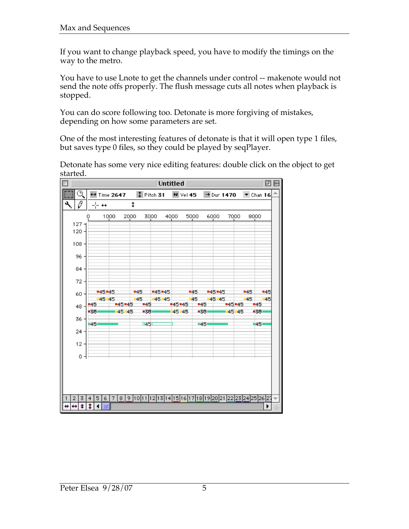If you want to change playback speed, you have to modify the timings on the way to the metro.

You have to use Lnote to get the channels under control -- makenote would not send the note offs properly. The flush message cuts all notes when playback is stopped.

You can do score following too. Detonate is more forgiving of mistakes, depending on how some parameters are set.

One of the most interesting features of detonate is that it will open type 1 files, but saves type 0 files, so they could be played by seqPlayer.

Detonate has some very nice editing features: double click on the object to get started.

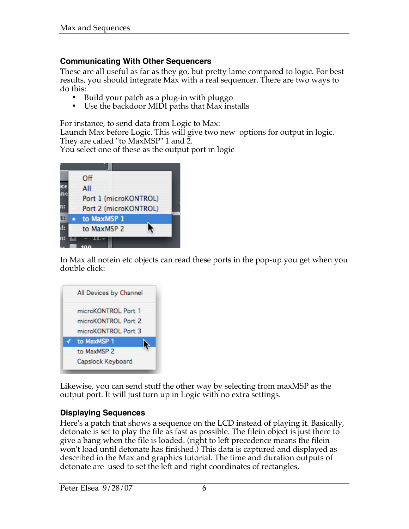#### **Communicating With Other Sequencers**

These are all useful as far as they go, but pretty lame compared to logic. For best results, you should integrate Max with a real sequencer. There are two ways to do this:

- Build your patch as a plug-in with pluggo
- Use the backdoor MIDI paths that Max installs

For instance, to send data from Logic to Max:

Launch Max before Logic. This will give two new options for output in logic. They are called "to MaxMSP" 1 and 2.

You select one of these as the output port in logic



In Max all notein etc objects can read these ports in the pop-up you get when you double click:

| All Devices by Channel |
|------------------------|
| microKONTROL Port 1    |
| microKONTROL Port 2    |
| microKONTROL Port 3    |
| to MaxMSP 1            |
| to MaxMSP 2            |
| Capslock Keyboard      |

Likewise, you can send stuff the other way by selecting from maxMSP as the output port. It will just turn up in Logic with no extra settings.

## **Displaying Sequences**

Here's a patch that shows a sequence on the LCD instead of playing it. Basically, detonate is set to play the file as fast as possible. The filein object is just there to give a bang when the file is loaded. (right to left precedence means the filein won't load until detonate has finished.) This data is captured and displayed as described in the Max and graphics tutorial. The time and duration outputs of detonate are used to set the left and right coordinates of rectangles.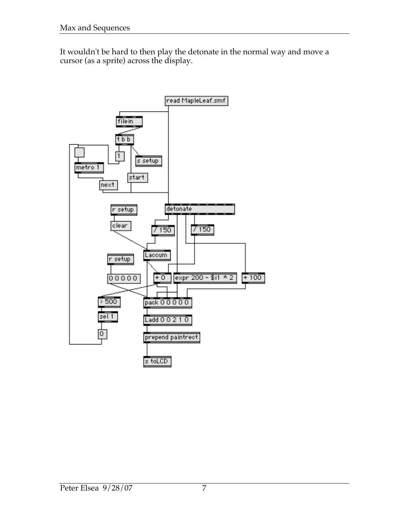It wouldn't be hard to then play the detonate in the normal way and move a cursor (as a sprite) across the display.

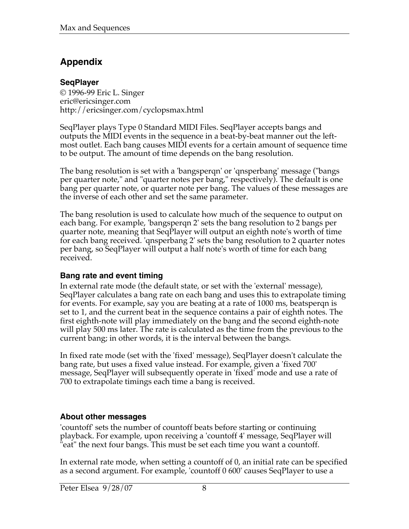# **Appendix**

## **SeqPlayer**

© 1996-99 Eric L. Singer eric@ericsinger.com http://ericsinger.com/cyclopsmax.html

SeqPlayer plays Type 0 Standard MIDI Files. SeqPlayer accepts bangs and outputs the MIDI events in the sequence in a beat-by-beat manner out the leftmost outlet. Each bang causes MIDI events for a certain amount of sequence time to be output. The amount of time depends on the bang resolution.

The bang resolution is set with a 'bangsperqn' or 'qnsperbang' message ("bangs per quarter note," and "quarter notes per bang," respectively). The default is one bang per quarter note, or quarter note per bang. The values of these messages are the inverse of each other and set the same parameter.

The bang resolution is used to calculate how much of the sequence to output on each bang. For example, 'bangsperqn 2' sets the bang resolution to 2 bangs per quarter note, meaning that SeqPlayer will output an eighth note's worth of time for each bang received. 'qnsperbang 2' sets the bang resolution to 2 quarter notes per bang, so SeqPlayer will output a half note's worth of time for each bang received.

## **Bang rate and event timing**

In external rate mode (the default state, or set with the 'external' message), SeqPlayer calculates a bang rate on each bang and uses this to extrapolate timing for events. For example, say you are beating at a rate of 1000 ms, beatsperqn is set to 1, and the current beat in the sequence contains a pair of eighth notes. The first eighth-note will play immediately on the bang and the second eighth-note will play 500 ms later. The rate is calculated as the time from the previous to the current bang; in other words, it is the interval between the bangs.

In fixed rate mode (set with the 'fixed' message), SeqPlayer doesn't calculate the bang rate, but uses a fixed value instead. For example, given a 'fixed 700' message, SeqPlayer will subsequently operate in 'fixed' mode and use a rate of 700 to extrapolate timings each time a bang is received.

## **About other messages**

'countoff' sets the number of countoff beats before starting or continuing playback. For example, upon receiving a 'countoff 4' message, SeqPlayer will "eat" the next four bangs. This must be set each time you want a countoff.

In external rate mode, when setting a countoff of 0, an initial rate can be specified as a second argument. For example, 'countoff 0 600' causes SeqPlayer to use a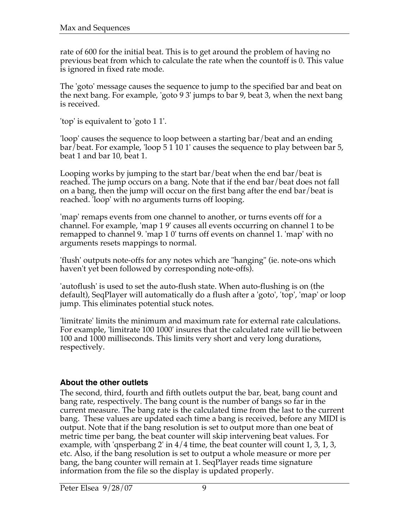rate of 600 for the initial beat. This is to get around the problem of having no previous beat from which to calculate the rate when the countoff is 0. This value is ignored in fixed rate mode.

The 'goto' message causes the sequence to jump to the specified bar and beat on the next bang. For example, 'goto 9 3' jumps to bar 9, beat 3, when the next bang is received.

'top' is equivalent to 'goto 1 1'.

'loop' causes the sequence to loop between a starting bar/beat and an ending bar/beat. For example, 'loop 5 1 10 1' causes the sequence to play between bar 5, beat 1 and bar 10, beat 1.

Looping works by jumping to the start bar/beat when the end bar/beat is reached. The jump occurs on a bang. Note that if the end bar/beat does not fall on a bang, then the jump will occur on the first bang after the end bar/beat is reached. 'loop' with no arguments turns off looping.

'map' remaps events from one channel to another, or turns events off for a channel. For example, 'map 1 9' causes all events occurring on channel 1 to be remapped to channel 9. 'map 1 0' turns off events on channel 1. 'map' with no arguments resets mappings to normal.

'flush' outputs note-offs for any notes which are "hanging" (ie. note-ons which haven't yet been followed by corresponding note-offs).

'autoflush' is used to set the auto-flush state. When auto-flushing is on (the default), SeqPlayer will automatically do a flush after a 'goto', 'top', 'map' or loop jump. This eliminates potential stuck notes.

'limitrate' limits the minimum and maximum rate for external rate calculations. For example, 'limitrate 100 1000' insures that the calculated rate will lie between 100 and 1000 milliseconds. This limits very short and very long durations, respectively.

## **About the other outlets**

The second, third, fourth and fifth outlets output the bar, beat, bang count and bang rate, respectively. The bang count is the number of bangs so far in the current measure. The bang rate is the calculated time from the last to the current bang. These values are updated each time a bang is received, before any MIDI is output. Note that if the bang resolution is set to output more than one beat of metric time per bang, the beat counter will skip intervening beat values. For example, with 'qnsperbang 2' in  $4/4$  time, the beat counter will count 1, 3, 1, 3, etc. Also, if the bang resolution is set to output a whole measure or more per bang, the bang counter will remain at 1. SeqPlayer reads time signature information from the file so the display is updated properly.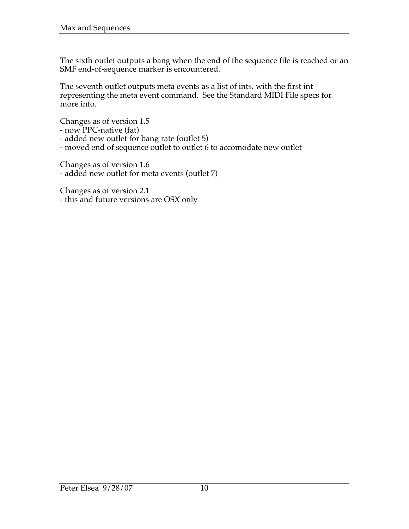The sixth outlet outputs a bang when the end of the sequence file is reached or an SMF end-of-sequence marker is encountered.

The seventh outlet outputs meta events as a list of ints, with the first int representing the meta event command. See the Standard MIDI File specs for more info.

Changes as of version 1.5

- now PPC-native (fat)

- added new outlet for bang rate (outlet 5)

- moved end of sequence outlet to outlet 6 to accomodate new outlet

Changes as of version 1.6

- added new outlet for meta events (outlet 7)

Changes as of version 2.1 - this and future versions are OSX only